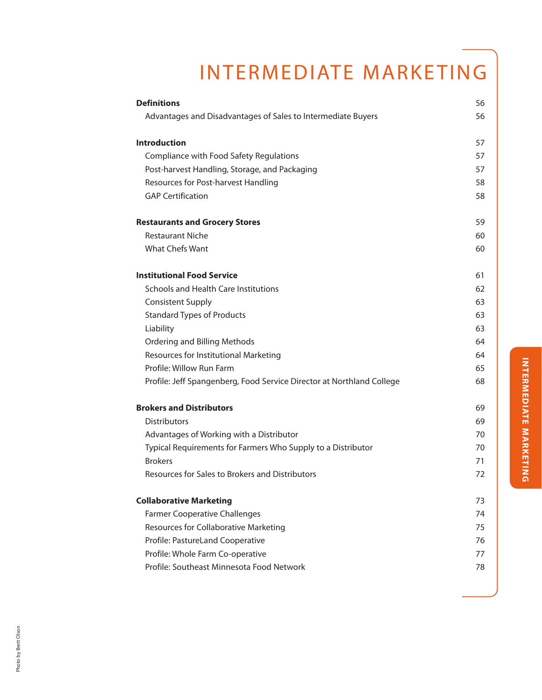# INTERMEDIATE MARKETING

| <b>Definitions</b>                                                    | 56 |
|-----------------------------------------------------------------------|----|
| Advantages and Disadvantages of Sales to Intermediate Buyers          | 56 |
| <b>Introduction</b>                                                   | 57 |
| Compliance with Food Safety Regulations                               | 57 |
| Post-harvest Handling, Storage, and Packaging                         | 57 |
| Resources for Post-harvest Handling                                   | 58 |
| <b>GAP Certification</b>                                              | 58 |
| <b>Restaurants and Grocery Stores</b>                                 | 59 |
| <b>Restaurant Niche</b>                                               | 60 |
| What Chefs Want                                                       | 60 |
| <b>Institutional Food Service</b>                                     | 61 |
| Schools and Health Care Institutions                                  | 62 |
| <b>Consistent Supply</b>                                              | 63 |
| <b>Standard Types of Products</b>                                     | 63 |
| Liability                                                             | 63 |
| Ordering and Billing Methods                                          | 64 |
| Resources for Institutional Marketing                                 | 64 |
| Profile: Willow Run Farm                                              | 65 |
| Profile: Jeff Spangenberg, Food Service Director at Northland College | 68 |
| <b>Brokers and Distributors</b>                                       | 69 |
| <b>Distributors</b>                                                   | 69 |
| Advantages of Working with a Distributor                              | 70 |
| Typical Requirements for Farmers Who Supply to a Distributor          | 70 |
| <b>Brokers</b>                                                        | 71 |
| Resources for Sales to Brokers and Distributors                       | 72 |
| <b>Collaborative Marketing</b>                                        | 73 |
| <b>Farmer Cooperative Challenges</b>                                  | 74 |
| Resources for Collaborative Marketing                                 | 75 |
| Profile: PastureLand Cooperative                                      | 76 |
| Profile: Whole Farm Co-operative                                      | 77 |
| Profile: Southeast Minnesota Food Network                             | 78 |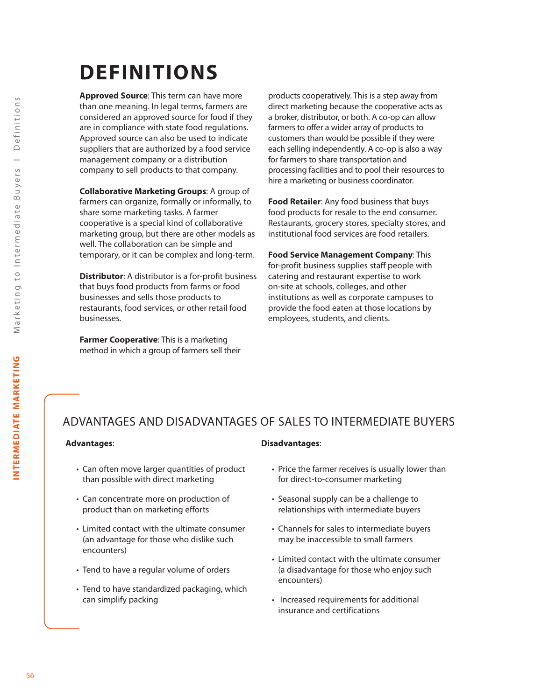# **DEFINITIONS**

**Approved Source**: This term can have more than one meaning. In legal terms, farmers are considered an approved source for food if they are in compliance with state food regulations. Approved source can also be used to indicate suppliers that are authorized by a food service management company or a distribution company to sell products to that company.

**Collaborative Marketing Groups**: A group of farmers can organize, formally or informally, to share some marketing tasks. A farmer cooperative is a special kind of collaborative marketing group, but there are other models as well. The collaboration can be simple and temporary, or it can be complex and long-term.

**Distributor**: A distributor is a for-profit business that buys food products from farms or food businesses and sells those products to restaurants, food services, or other retail food businesses.

**Farmer Cooperative**: This is a marketing method in which a group of farmers sell their

products cooperatively. This is a step away from direct marketing because the cooperative acts as a broker, distributor, or both. A co-op can allow farmers to offer a wider array of products to customers than would be possible if they were each selling independently. A co-op is also a way for farmers to share transportation and processing facilities and to pool their resources to hire a marketing or business coordinator.

**Food Retailer**: Any food business that buys food products for resale to the end consumer. Restaurants, grocery stores, specialty stores, and institutional food services are food retailers.

**Food Service Management Company**: This for-profit business supplies staff people with catering and restaurant expertise to work on-site at schools, colleges, and other institutions as well as corporate campuses to provide the food eaten at those locations by employees, students, and clients.

# ADVANTAGES AND DISADVANTAGES OF SALES TO INTERMEDIATE BUYERS

#### **Advantages**:

- Can often move larger quantities of product than possible with direct marketing
- Can concentrate more on production of product than on marketing efforts
- Limited contact with the ultimate consumer (an advantage for those who dislike such encounters)
- Tend to have a regular volume of orders
- Tend to have standardized packaging, which can simplify packing

#### **Disadvantages**:

- Price the farmer receives is usually lower than for direct-to-consumer marketing
- Seasonal supply can be a challenge to relationships with intermediate buyers
- Channels for sales to intermediate buyers may be inaccessible to small farmers
- Limited contact with the ultimate consumer (a disadvantage for those who enjoy such encounters)
- Increased requirements for additional insurance and certifications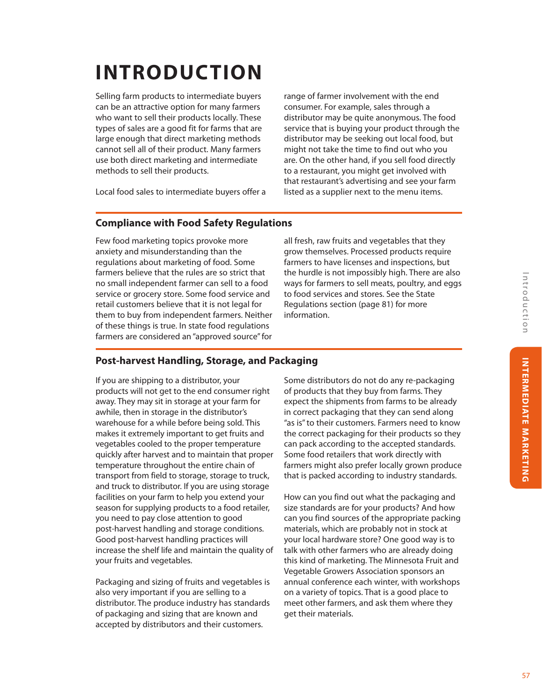# **INTRODUCTION**

Selling farm products to intermediate buyers can be an attractive option for many farmers who want to sell their products locally. These types of sales are a good fit for farms that are large enough that direct marketing methods cannot sell all of their product. Many farmers use both direct marketing and intermediate methods to sell their products.

range of farmer involvement with the end consumer. For example, sales through a distributor may be quite anonymous. The food service that is buying your product through the distributor may be seeking out local food, but might not take the time to find out who you are. On the other hand, if you sell food directly to a restaurant, you might get involved with that restaurant's advertising and see your farm listed as a supplier next to the menu items.

Local food sales to intermediate buyers offer a

## **Compliance with Food Safety Regulations**

Few food marketing topics provoke more anxiety and misunderstanding than the regulations about marketing of food. Some farmers believe that the rules are so strict that no small independent farmer can sell to a food service or grocery store. Some food service and retail customers believe that it is not legal for them to buy from independent farmers. Neither of these things is true. In state food regulations farmers are considered an "approved source" for

all fresh, raw fruits and vegetables that they grow themselves. Processed products require farmers to have licenses and inspections, but the hurdle is not impossibly high. There are also ways for farmers to sell meats, poultry, and eggs to food services and stores. See the State Regulations section (page 81) for more information.

## **Post-harvest Handling, Storage, and Packaging**

If you are shipping to a distributor, your products will not get to the end consumer right away. They may sit in storage at your farm for awhile, then in storage in the distributor's warehouse for a while before being sold. This makes it extremely important to get fruits and vegetables cooled to the proper temperature quickly after harvest and to maintain that proper temperature throughout the entire chain of transport from field to storage, storage to truck, and truck to distributor. If you are using storage facilities on your farm to help you extend your season for supplying products to a food retailer, you need to pay close attention to good post-harvest handling and storage conditions. Good post-harvest handling practices will increase the shelf life and maintain the quality of your fruits and vegetables.

Packaging and sizing of fruits and vegetables is also very important if you are selling to a distributor. The produce industry has standards of packaging and sizing that are known and accepted by distributors and their customers.

Some distributors do not do any re-packaging of products that they buy from farms. They expect the shipments from farms to be already in correct packaging that they can send along "as is" to their customers. Farmers need to know the correct packaging for their products so they can pack according to the accepted standards. Some food retailers that work directly with farmers might also prefer locally grown produce that is packed according to industry standards.

How can you find out what the packaging and size standards are for your products? And how can you find sources of the appropriate packing materials, which are probably not in stock at your local hardware store? One good way is to talk with other farmers who are already doing this kind of marketing. The Minnesota Fruit and Vegetable Growers Association sponsors an annual conference each winter, with workshops on a variety of topics. That is a good place to meet other farmers, and ask them where they get their materials.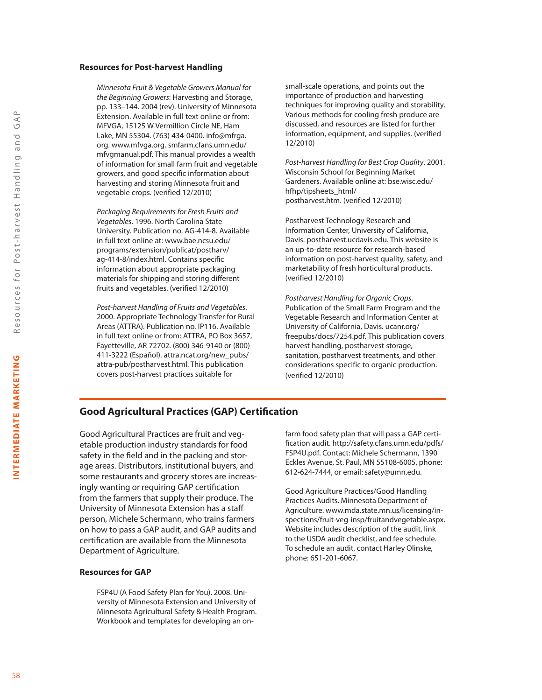#### **Resources for Post-harvest Handling**

*Minnesota Fruit & Vegetable Growers Manual for the Beginning Growers*: Harvesting and Storage, pp. 133–144. 2004 (rev). University of Minnesota Extension. Available in full text online or from: MFVGA, 15125 W Vermillion Circle NE, Ham Lake, MN 55304. (763) 434-0400. info@mfrga. org. www.mfvga.org. smfarm.cfans.umn.edu/ mfvgmanual.pdf. This manual provides a wealth of information for small farm fruit and vegetable growers, and good specific information about harvesting and storing Minnesota fruit and vegetable crops. (verified 12/2010)

*Packaging Requirements for Fresh Fruits and Vegetables*. 1996. North Carolina State University. Publication no. AG-414-8. Available in full text online at: www.bae.ncsu.edu/ programs/extension/publicat/postharv/ ag-414-8/index.html. Contains specific information about appropriate packaging materials for shipping and storing different fruits and vegetables. (verified 12/2010)

*Post-harvest Handling of Fruits and Vegetables*. 2000. Appropriate Technology Transfer for Rural Areas (ATTRA). Publication no. IP116. Available in full text online or from: ATTRA, PO Box 3657, Fayetteville, AR 72702. (800) 346-9140 or (800) 411-3222 (Español). attra.ncat.org/new\_pubs/ attra-pub/postharvest.html. This publication covers post-harvest practices suitable for

small-scale operations, and points out the importance of production and harvesting techniques for improving quality and storability. Various methods for cooling fresh produce are discussed, and resources are listed for further information, equipment, and supplies. (verified 12/2010)

*Post-harvest Handling for Best Crop Quality*. 2001. Wisconsin School for Beginning Market Gardeners. Available online at: bse.wisc.edu/ hfhp/tipsheets\_html/ postharvest.htm. (verified 12/2010)

Postharvest Technology Research and Information Center, University of California, Davis. postharvest.ucdavis.edu. This website is an up-to-date resource for research-based information on post-harvest quality, safety, and marketability of fresh horticultural products. (verified 12/2010)

*Postharvest Handling for Organic Crops*. Publication of the Small Farm Program and the Vegetable Research and Information Center at University of California, Davis. ucanr.org/ freepubs/docs/7254.pdf. This publication covers harvest handling, postharvest storage, sanitation, postharvest treatments, and other considerations specific to organic production. (verified 12/2010)

#### **Good Agricultural Practices (GAP) Certification**

Good Agricultural Practices are fruit and vegetable production industry standards for food safety in the field and in the packing and storage areas. Distributors, institutional buyers, and some restaurants and grocery stores are increasingly wanting or requiring GAP certification from the farmers that supply their produce. The University of Minnesota Extension has a staff person, Michele Schermann, who trains farmers on how to pass a GAP audit, and GAP audits and certification are available from the Minnesota Department of Agriculture.

#### **Resources for GAP**

FSP4U (A Food Safety Plan for You). 2008. University of Minnesota Extension and University of Minnesota Agricultural Safety & Health Program. Workbook and templates for developing an onfarm food safety plan that will pass a GAP certification audit. http://safety.cfans.umn.edu/pdfs/ FSP4U.pdf. Contact: Michele Schermann, 1390 Eckles Avenue, St. Paul, MN 55108-6005, phone: 612-624-7444, or email: safety@umn.edu.

Good Agriculture Practices/Good Handling Practices Audits. Minnesota Department of Agriculture. www.mda.state.mn.us/licensing/inspections/fruit-veg-insp/fruitandvegetable.aspx. Website includes description of the audit, link to the USDA audit checklist, and fee schedule. To schedule an audit, contact Harley Olinske, phone: 651-201-6067.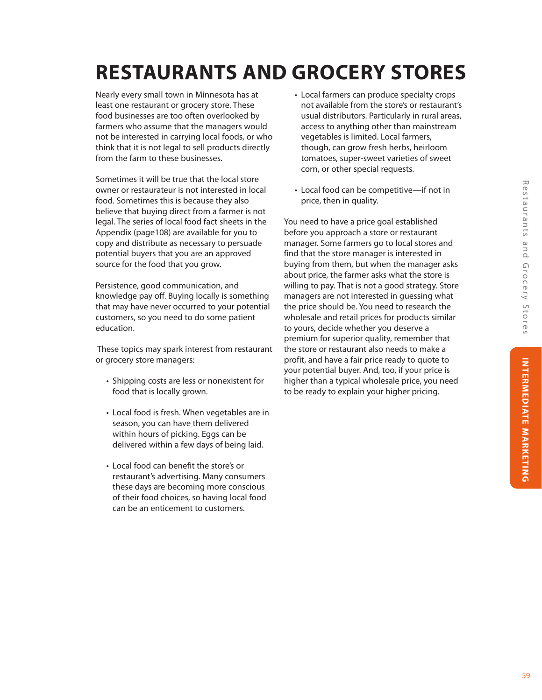# **RESTAURANTS AND GROCERY STORES**

Nearly every small town in Minnesota has at least one restaurant or grocery store. These food businesses are too often overlooked by farmers who assume that the managers would not be interested in carrying local foods, or who think that it is not legal to sell products directly from the farm to these businesses.

Sometimes it will be true that the local store owner or restaurateur is not interested in local food. Sometimes this is because they also believe that buying direct from a farmer is not legal. The series of local food fact sheets in the Appendix (page108) are available for you to copy and distribute as necessary to persuade potential buyers that you are an approved source for the food that you grow.

Persistence, good communication, and knowledge pay off. Buying locally is something that may have never occurred to your potential customers, so you need to do some patient education.

 These topics may spark interest from restaurant or grocery store managers:

- Shipping costs are less or nonexistent for food that is locally grown.
- Local food is fresh. When vegetables are in season, you can have them delivered within hours of picking. Eggs can be delivered within a few days of being laid.
- Local food can benefit the store's or restaurant's advertising. Many consumers these days are becoming more conscious of their food choices, so having local food can be an enticement to customers.
- Local farmers can produce specialty crops not available from the store's or restaurant's usual distributors. Particularly in rural areas, access to anything other than mainstream vegetables is limited. Local farmers, though, can grow fresh herbs, heirloom tomatoes, super-sweet varieties of sweet corn, or other special requests.
- Local food can be competitive—if not in price, then in quality.

You need to have a price goal established before you approach a store or restaurant manager. Some farmers go to local stores and find that the store manager is interested in buying from them, but when the manager asks about price, the farmer asks what the store is willing to pay. That is not a good strategy. Store managers are not interested in guessing what the price should be. You need to research the wholesale and retail prices for products similar to yours, decide whether you deserve a premium for superior quality, remember that the store or restaurant also needs to make a profit, and have a fair price ready to quote to your potential buyer. And, too, if your price is higher than a typical wholesale price, you need to be ready to explain your higher pricing.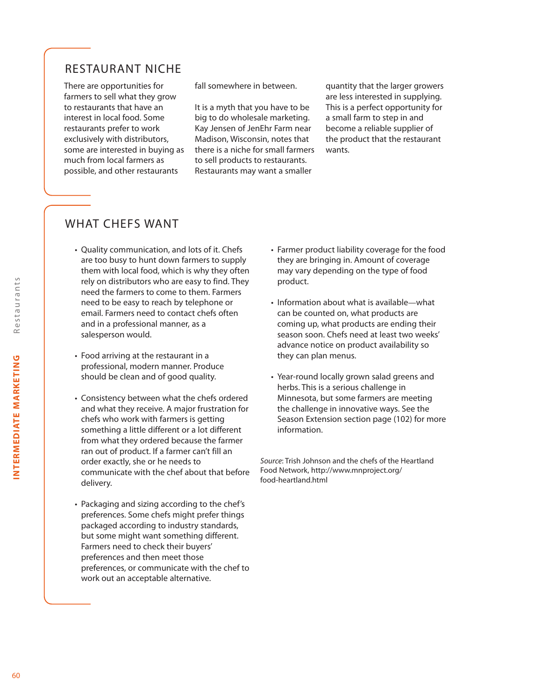# RESTAURANT NICHE

There are opportunities for farmers to sell what they grow to restaurants that have an interest in local food. Some restaurants prefer to work exclusively with distributors, some are interested in buying as much from local farmers as possible, and other restaurants

fall somewhere in between.

It is a myth that you have to be big to do wholesale marketing. Kay Jensen of JenEhr Farm near Madison, Wisconsin, notes that there is a niche for small farmers to sell products to restaurants. Restaurants may want a smaller

quantity that the larger growers are less interested in supplying. This is a perfect opportunity for a small farm to step in and become a reliable supplier of the product that the restaurant wants.

## WHAT CHEFS WANT

- Quality communication, and lots of it. Chefs are too busy to hunt down farmers to supply them with local food, which is why they often rely on distributors who are easy to find. They need the farmers to come to them. Farmers need to be easy to reach by telephone or email. Farmers need to contact chefs often and in a professional manner, as a salesperson would.
- Food arriving at the restaurant in a professional, modern manner. Produce should be clean and of good quality.
- Consistency between what the chefs ordered and what they receive. A major frustration for chefs who work with farmers is getting something a little different or a lot different from what they ordered because the farmer ran out of product. If a farmer can't fill an order exactly, she or he needs to communicate with the chef about that before delivery.
- Packaging and sizing according to the chef's preferences. Some chefs might prefer things packaged according to industry standards, but some might want something different. Farmers need to check their buyers' preferences and then meet those preferences, or communicate with the chef to work out an acceptable alternative.
- Farmer product liability coverage for the food they are bringing in. Amount of coverage may vary depending on the type of food product.
- Information about what is available—what can be counted on, what products are coming up, what products are ending their season soon. Chefs need at least two weeks' advance notice on product availability so they can plan menus.
- Year-round locally grown salad greens and herbs. This is a serious challenge in Minnesota, but some farmers are meeting the challenge in innovative ways. See the Season Extension section page (102) for more information.

*Source*: Trish Johnson and the chefs of the Heartland Food Network, http://www.mnproject.org/ food-heartland.html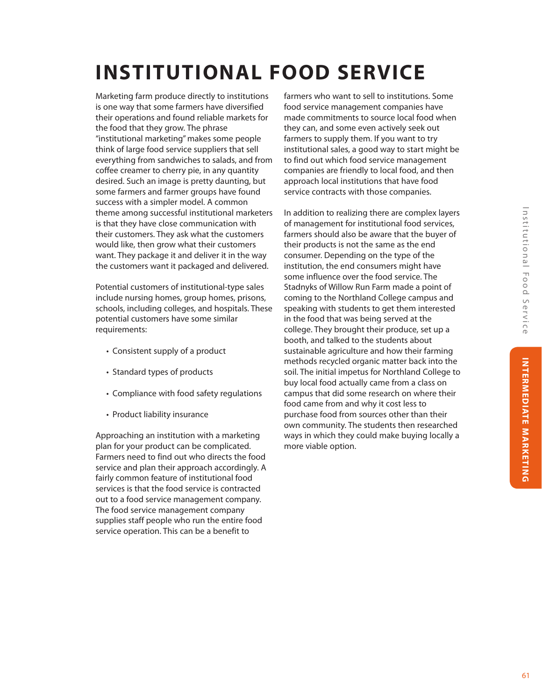# **INSTITUTIONAL FOOD SERVICE**

Marketing farm produce directly to institutions is one way that some farmers have diversified their operations and found reliable markets for the food that they grow. The phrase "institutional marketing" makes some people think of large food service suppliers that sell everything from sandwiches to salads, and from coffee creamer to cherry pie, in any quantity desired. Such an image is pretty daunting, but some farmers and farmer groups have found success with a simpler model. A common theme among successful institutional marketers is that they have close communication with their customers. They ask what the customers would like, then grow what their customers want. They package it and deliver it in the way the customers want it packaged and delivered.

Potential customers of institutional-type sales include nursing homes, group homes, prisons, schools, including colleges, and hospitals. These potential customers have some similar requirements:

- Consistent supply of a product
- Standard types of products
- Compliance with food safety regulations
- Product liability insurance

Approaching an institution with a marketing plan for your product can be complicated. Farmers need to find out who directs the food service and plan their approach accordingly. A fairly common feature of institutional food services is that the food service is contracted out to a food service management company. The food service management company supplies staff people who run the entire food service operation. This can be a benefit to

farmers who want to sell to institutions. Some food service management companies have made commitments to source local food when they can, and some even actively seek out farmers to supply them. If you want to try institutional sales, a good way to start might be to find out which food service management companies are friendly to local food, and then approach local institutions that have food service contracts with those companies.

In addition to realizing there are complex layers of management for institutional food services, farmers should also be aware that the buyer of their products is not the same as the end consumer. Depending on the type of the institution, the end consumers might have some influence over the food service. The Stadnyks of Willow Run Farm made a point of coming to the Northland College campus and speaking with students to get them interested in the food that was being served at the college. They brought their produce, set up a booth, and talked to the students about sustainable agriculture and how their farming methods recycled organic matter back into the soil. The initial impetus for Northland College to buy local food actually came from a class on campus that did some research on where their food came from and why it cost less to purchase food from sources other than their own community. The students then researched ways in which they could make buying locally a more viable option.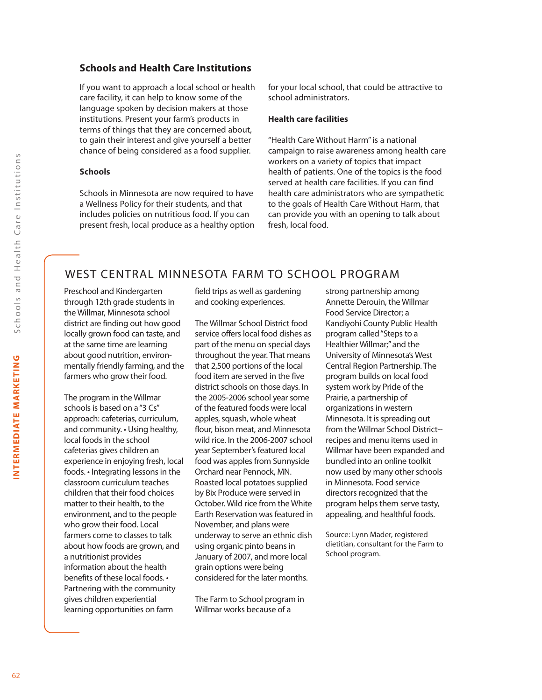#### **Schools and Health Care Institutions**

If you want to approach a local school or health care facility, it can help to know some of the language spoken by decision makers at those institutions. Present your farm's products in terms of things that they are concerned about, to gain their interest and give yourself a better chance of being considered as a food supplier.

#### **Schools**

Schools in Minnesota are now required to have a Wellness Policy for their students, and that includes policies on nutritious food. If you can present fresh, local produce as a healthy option for your local school, that could be attractive to school administrators.

#### **Health care facilities**

"Health Care Without Harm" is a national campaign to raise awareness among health care workers on a variety of topics that impact health of patients. One of the topics is the food served at health care facilities. If you can find health care administrators who are sympathetic to the goals of Health Care Without Harm, that can provide you with an opening to talk about fresh, local food.

## WEST CENTRAL MINNESOTA FARM TO SCHOOL PROGRAM

Preschool and Kindergarten through 12th grade students in the Willmar, Minnesota school district are finding out how good locally grown food can taste, and at the same time are learning about good nutrition, environmentally friendly farming, and the farmers who grow their food.

The program in the Willmar schools is based on a "3 Cs" approach: cafeterias, curriculum, and community. • Using healthy, local foods in the school cafeterias gives children an experience in enjoying fresh, local foods. • Integrating lessons in the classroom curriculum teaches children that their food choices matter to their health, to the environment, and to the people who grow their food. Local farmers come to classes to talk about how foods are grown, and a nutritionist provides information about the health benefits of these local foods. • Partnering with the community gives children experiential learning opportunities on farm

field trips as well as gardening and cooking experiences.

The Willmar School District food service offers local food dishes as part of the menu on special days throughout the year. That means that 2,500 portions of the local food item are served in the five district schools on those days. In the 2005-2006 school year some of the featured foods were local apples, squash, whole wheat flour, bison meat, and Minnesota wild rice. In the 2006-2007 school year September's featured local food was apples from Sunnyside Orchard near Pennock, MN. Roasted local potatoes supplied by Bix Produce were served in October. Wild rice from the White Earth Reservation was featured in November, and plans were underway to serve an ethnic dish using organic pinto beans in January of 2007, and more local grain options were being considered for the later months.

The Farm to School program in Willmar works because of a

strong partnership among Annette Derouin, the Willmar Food Service Director; a Kandiyohi County Public Health program called "Steps to a Healthier Willmar;" and the University of Minnesota's West Central Region Partnership. The program builds on local food system work by Pride of the Prairie, a partnership of organizations in western Minnesota. It is spreading out from the Willmar School District- recipes and menu items used in Willmar have been expanded and bundled into an online toolkit now used by many other schools in Minnesota. Food service directors recognized that the program helps them serve tasty, appealing, and healthful foods.

Source: Lynn Mader, registered dietitian, consultant for the Farm to School program.

INTERMEDIATE MARKETING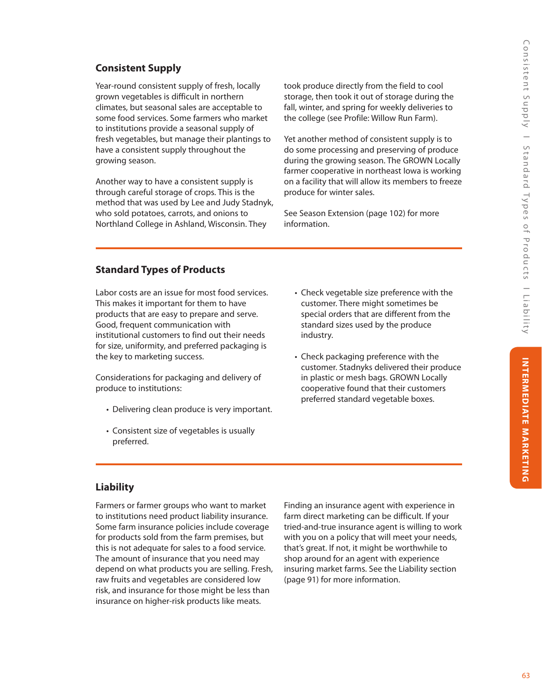# **Consistent Supply**

Year-round consistent supply of fresh, locally grown vegetables is difficult in northern climates, but seasonal sales are acceptable to some food services. Some farmers who market to institutions provide a seasonal supply of fresh vegetables, but manage their plantings to have a consistent supply throughout the growing season.

Another way to have a consistent supply is through careful storage of crops. This is the method that was used by Lee and Judy Stadnyk, who sold potatoes, carrots, and onions to Northland College in Ashland, Wisconsin. They

took produce directly from the field to cool storage, then took it out of storage during the fall, winter, and spring for weekly deliveries to the college (see Profile: Willow Run Farm).

Yet another method of consistent supply is to do some processing and preserving of produce during the growing season. The GROWN Locally farmer cooperative in northeast Iowa is working on a facility that will allow its members to freeze produce for winter sales.

See Season Extension (page 102) for more information.

## **Standard Types of Products**

Labor costs are an issue for most food services. This makes it important for them to have products that are easy to prepare and serve. Good, frequent communication with institutional customers to find out their needs for size, uniformity, and preferred packaging is the key to marketing success.

Considerations for packaging and delivery of produce to institutions:

- Delivering clean produce is very important.
- Consistent size of vegetables is usually preferred.
- Check vegetable size preference with the customer. There might sometimes be special orders that are different from the standard sizes used by the produce industry.
- Check packaging preference with the customer. Stadnyks delivered their produce in plastic or mesh bags. GROWN Locally cooperative found that their customers preferred standard vegetable boxes.

## **Liability**

Farmers or farmer groups who want to market to institutions need product liability insurance. Some farm insurance policies include coverage for products sold from the farm premises, but this is not adequate for sales to a food service. The amount of insurance that you need may depend on what products you are selling. Fresh, raw fruits and vegetables are considered low risk, and insurance for those might be less than insurance on higher-risk products like meats.

Finding an insurance agent with experience in farm direct marketing can be difficult. If your tried-and-true insurance agent is willing to work with you on a policy that will meet your needs, that's great. If not, it might be worthwhile to shop around for an agent with experience insuring market farms. See the Liability section (page 91) for more information.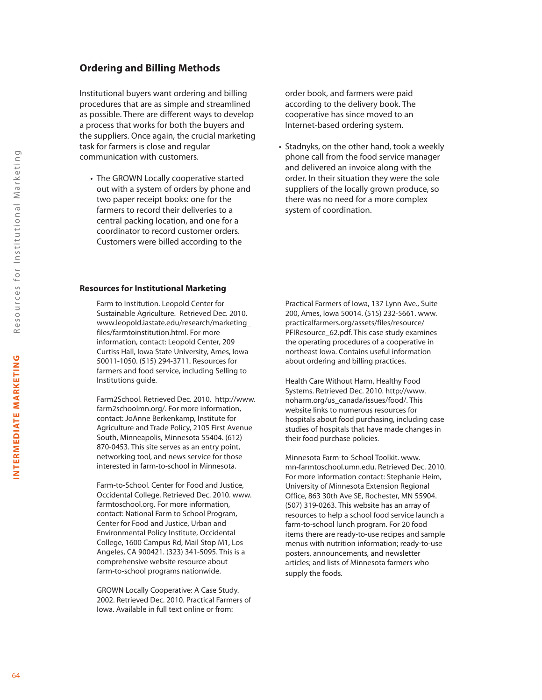### **Ordering and Billing Methods**

Institutional buyers want ordering and billing procedures that are as simple and streamlined as possible. There are different ways to develop a process that works for both the buyers and the suppliers. Once again, the crucial marketing task for farmers is close and regular communication with customers.

• The GROWN Locally cooperative started out with a system of orders by phone and two paper receipt books: one for the farmers to record their deliveries to a central packing location, and one for a coordinator to record customer orders. Customers were billed according to the

order book, and farmers were paid according to the delivery book. The cooperative has since moved to an Internet-based ordering system.

• Stadnyks, on the other hand, took a weekly phone call from the food service manager and delivered an invoice along with the order. In their situation they were the sole suppliers of the locally grown produce, so there was no need for a more complex system of coordination.

#### **Resources for Institutional Marketing**

Farm to Institution. Leopold Center for Sustainable Agriculture. Retrieved Dec. 2010. www.leopold.iastate.edu/research/marketing\_ files/farmtoinstitution.html. For more information, contact: Leopold Center, 209 Curtiss Hall, Iowa State University, Ames, Iowa 50011-1050. (515) 294-3711. Resources for farmers and food service, including Selling to Institutions guide.

Farm2School. Retrieved Dec. 2010. http://www. farm2schoolmn.org/. For more information, contact: JoAnne Berkenkamp, Institute for Agriculture and Trade Policy, 2105 First Avenue South, Minneapolis, Minnesota 55404. (612) 870-0453. This site serves as an entry point, networking tool, and news service for those interested in farm-to-school in Minnesota.

Farm-to-School. Center for Food and Justice, Occidental College. Retrieved Dec. 2010. www. farmtoschool.org. For more information, contact: National Farm to School Program, Center for Food and Justice, Urban and Environmental Policy Institute, Occidental College, 1600 Campus Rd, Mail Stop M1, Los Angeles, CA 900421. (323) 341-5095. This is a comprehensive website resource about farm-to-school programs nationwide.

GROWN Locally Cooperative: A Case Study. 2002. Retrieved Dec. 2010. Practical Farmers of Iowa. Available in full text online or from:

Practical Farmers of Iowa, 137 Lynn Ave., Suite 200, Ames, Iowa 50014. (515) 232-5661. www. practicalfarmers.org/assets/files/resource/ PFIResource\_62.pdf. This case study examines the operating procedures of a cooperative in northeast Iowa. Contains useful information about ordering and billing practices.

Health Care Without Harm, Healthy Food Systems. Retrieved Dec. 2010. http://www. noharm.org/us\_canada/issues/food/. This website links to numerous resources for hospitals about food purchasing, including case studies of hospitals that have made changes in their food purchase policies.

Minnesota Farm-to-School Toolkit. www. mn-farmtoschool.umn.edu. Retrieved Dec. 2010. For more information contact: Stephanie Heim, University of Minnesota Extension Regional Office, 863 30th Ave SE, Rochester, MN 55904. (507) 319-0263. This website has an array of resources to help a school food service launch a farm-to-school lunch program. For 20 food items there are ready-to-use recipes and sample menus with nutrition information; ready-to-use posters, announcements, and newsletter articles; and lists of Minnesota farmers who supply the foods.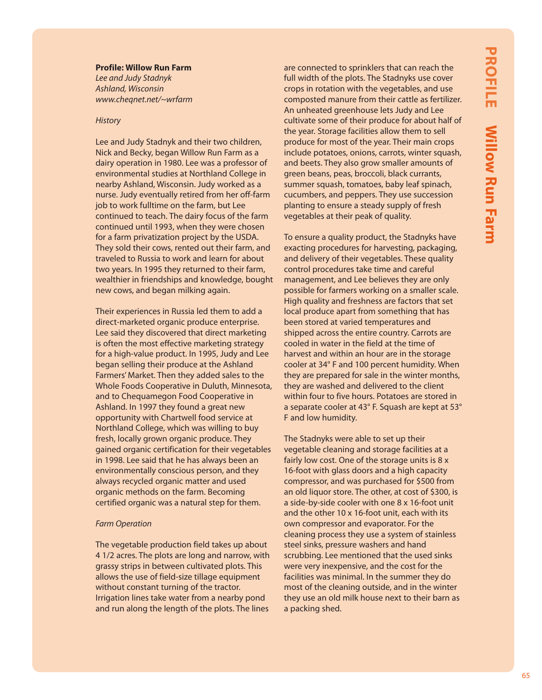#### **Profile: Willow Run Farm**

*Lee and Judy Stadnyk Ashland, Wisconsin www.cheqnet.net/~wrfarm*

#### *History*

Lee and Judy Stadnyk and their two children, Nick and Becky, began Willow Run Farm as a dairy operation in 1980. Lee was a professor of environmental studies at Northland College in nearby Ashland, Wisconsin. Judy worked as a nurse. Judy eventually retired from her off-farm job to work fulltime on the farm, but Lee continued to teach. The dairy focus of the farm continued until 1993, when they were chosen for a farm privatization project by the USDA. They sold their cows, rented out their farm, and traveled to Russia to work and learn for about two years. In 1995 they returned to their farm, wealthier in friendships and knowledge, bought new cows, and began milking again.

Their experiences in Russia led them to add a direct-marketed organic produce enterprise. Lee said they discovered that direct marketing is often the most effective marketing strategy for a high-value product. In 1995, Judy and Lee began selling their produce at the Ashland Farmers' Market. Then they added sales to the Whole Foods Cooperative in Duluth, Minnesota, and to Chequamegon Food Cooperative in Ashland. In 1997 they found a great new opportunity with Chartwell food service at Northland College, which was willing to buy fresh, locally grown organic produce. They gained organic certification for their vegetables in 1998. Lee said that he has always been an environmentally conscious person, and they always recycled organic matter and used organic methods on the farm. Becoming certified organic was a natural step for them.

#### *Farm Operation*

The vegetable production field takes up about 4 1/2 acres. The plots are long and narrow, with grassy strips in between cultivated plots. This allows the use of field-size tillage equipment without constant turning of the tractor. Irrigation lines take water from a nearby pond and run along the length of the plots. The lines

are connected to sprinklers that can reach the full width of the plots. The Stadnyks use cover crops in rotation with the vegetables, and use composted manure from their cattle as fertilizer. An unheated greenhouse lets Judy and Lee cultivate some of their produce for about half of the year. Storage facilities allow them to sell produce for most of the year. Their main crops include potatoes, onions, carrots, winter squash, and beets. They also grow smaller amounts of green beans, peas, broccoli, black currants, summer squash, tomatoes, baby leaf spinach, cucumbers, and peppers. They use succession planting to ensure a steady supply of fresh vegetables at their peak of quality.

To ensure a quality product, the Stadnyks have exacting procedures for harvesting, packaging, and delivery of their vegetables. These quality control procedures take time and careful management, and Lee believes they are only possible for farmers working on a smaller scale. High quality and freshness are factors that set local produce apart from something that has been stored at varied temperatures and shipped across the entire country. Carrots are cooled in water in the field at the time of harvest and within an hour are in the storage cooler at 34° F and 100 percent humidity. When they are prepared for sale in the winter months, they are washed and delivered to the client within four to five hours. Potatoes are stored in a separate cooler at 43° F. Squash are kept at 53° F and low humidity.

The Stadnyks were able to set up their vegetable cleaning and storage facilities at a fairly low cost. One of the storage units is 8 x 16-foot with glass doors and a high capacity compressor, and was purchased for \$500 from an old liquor store. The other, at cost of \$300, is a side-by-side cooler with one 8 x 16-foot unit and the other 10 x 16-foot unit, each with its own compressor and evaporator. For the cleaning process they use a system of stainless steel sinks, pressure washers and hand scrubbing. Lee mentioned that the used sinks were very inexpensive, and the cost for the facilities was minimal. In the summer they do most of the cleaning outside, and in the winter they use an old milk house next to their barn as a packing shed.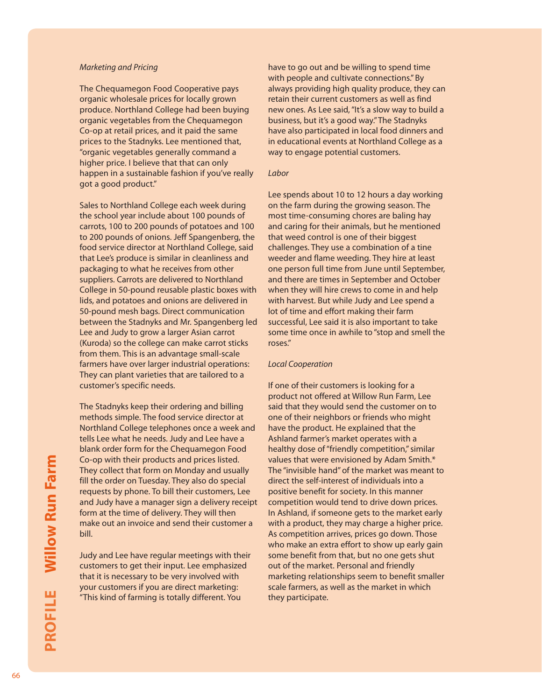#### *Marketing and Pricing*

The Chequamegon Food Cooperative pays organic wholesale prices for locally grown produce. Northland College had been buying organic vegetables from the Chequamegon Co-op at retail prices, and it paid the same prices to the Stadnyks. Lee mentioned that, "organic vegetables generally command a higher price. I believe that that can only happen in a sustainable fashion if you've really got a good product."

Sales to Northland College each week during the school year include about 100 pounds of carrots, 100 to 200 pounds of potatoes and 100 to 200 pounds of onions. Jeff Spangenberg, the food service director at Northland College, said that Lee's produce is similar in cleanliness and packaging to what he receives from other suppliers. Carrots are delivered to Northland College in 50-pound reusable plastic boxes with lids, and potatoes and onions are delivered in 50-pound mesh bags. Direct communication between the Stadnyks and Mr. Spangenberg led Lee and Judy to grow a larger Asian carrot (Kuroda) so the college can make carrot sticks from them. This is an advantage small-scale farmers have over larger industrial operations: They can plant varieties that are tailored to a customer's specific needs.

The Stadnyks keep their ordering and billing methods simple. The food service director at Northland College telephones once a week and tells Lee what he needs. Judy and Lee have a blank order form for the Chequamegon Food Co-op with their products and prices listed. They collect that form on Monday and usually fill the order on Tuesday. They also do special requests by phone. To bill their customers, Lee and Judy have a manager sign a delivery receipt form at the time of delivery. They will then make out an invoice and send their customer a bill.

Judy and Lee have regular meetings with their customers to get their input. Lee emphasized that it is necessary to be very involved with your customers if you are direct marketing: "This kind of farming is totally different. You

have to go out and be willing to spend time with people and cultivate connections." By always providing high quality produce, they can retain their current customers as well as find new ones. As Lee said, "It's a slow way to build a business, but it's a good way." The Stadnyks have also participated in local food dinners and in educational events at Northland College as a way to engage potential customers.

#### *Labor*

Lee spends about 10 to 12 hours a day working on the farm during the growing season. The most time-consuming chores are baling hay and caring for their animals, but he mentioned that weed control is one of their biggest challenges. They use a combination of a tine weeder and flame weeding. They hire at least one person full time from June until September, and there are times in September and October when they will hire crews to come in and help with harvest. But while Judy and Lee spend a lot of time and effort making their farm successful, Lee said it is also important to take some time once in awhile to "stop and smell the roses."

#### *Local Cooperation*

If one of their customers is looking for a product not offered at Willow Run Farm, Lee said that they would send the customer on to one of their neighbors or friends who might have the product. He explained that the Ashland farmer's market operates with a healthy dose of "friendly competition," similar values that were envisioned by Adam Smith.\* The "invisible hand" of the market was meant to direct the self-interest of individuals into a positive benefit for society. In this manner competition would tend to drive down prices. In Ashland, if someone gets to the market early with a product, they may charge a higher price. As competition arrives, prices go down. Those who make an extra effort to show up early gain some benefit from that, but no one gets shut out of the market. Personal and friendly marketing relationships seem to benefit smaller scale farmers, as well as the market in which they participate.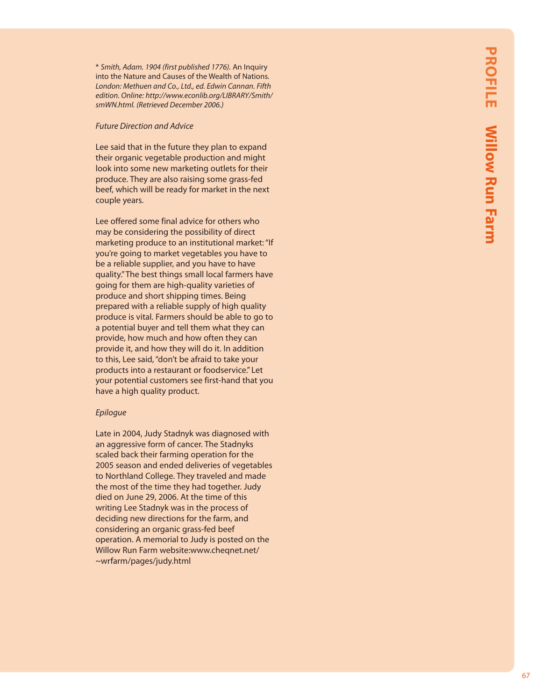\* *Smith, Adam. 1904 (first published 1776).* An Inquiry into the Nature and Causes of the Wealth of Nations. *London: Methuen and Co., Ltd., ed. Edwin Cannan. Fifth edition. Online: http://www.econlib.org/LIBRARY/Smith/ smWN.html. (Retrieved December 2006.)*

#### *Future Direction and Advice*

Lee said that in the future they plan to expand their organic vegetable production and might look into some new marketing outlets for their produce. They are also raising some grass-fed beef, which will be ready for market in the next couple years.

Lee offered some final advice for others who may be considering the possibility of direct marketing produce to an institutional market: "If you're going to market vegetables you have to be a reliable supplier, and you have to have quality." The best things small local farmers have going for them are high-quality varieties of produce and short shipping times. Being prepared with a reliable supply of high quality produce is vital. Farmers should be able to go to a potential buyer and tell them what they can provide, how much and how often they can provide it, and how they will do it. In addition to this, Lee said, "don't be afraid to take your products into a restaurant or foodservice." Let your potential customers see first-hand that you have a high quality product.

#### *Epilogue*

Late in 2004, Judy Stadnyk was diagnosed with an aggressive form of cancer. The Stadnyks scaled back their farming operation for the 2005 season and ended deliveries of vegetables to Northland College. They traveled and made the most of the time they had together. Judy died on June 29, 2006. At the time of this writing Lee Stadnyk was in the process of deciding new directions for the farm, and considering an organic grass-fed beef operation. A memorial to Judy is posted on the Willow Run Farm website:www.cheqnet.net/ ~wrfarm/pages/judy.html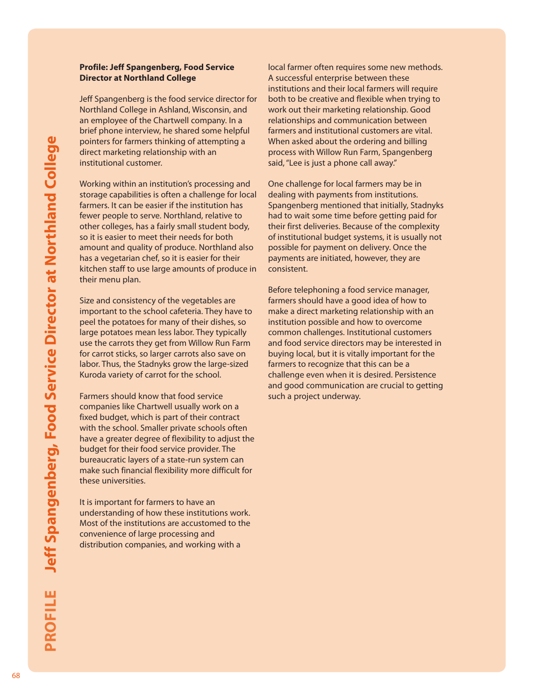#### **Profile: Jeff Spangenberg, Food Service Director at Northland College**

Jeff Spangenberg is the food service director for Northland College in Ashland, Wisconsin, and an employee of the Chartwell company. In a brief phone interview, he shared some helpful pointers for farmers thinking of attempting a direct marketing relationship with an institutional customer.

Working within an institution's processing and storage capabilities is often a challenge for local farmers. It can be easier if the institution has fewer people to serve. Northland, relative to other colleges, has a fairly small student body, so it is easier to meet their needs for both amount and quality of produce. Northland also has a vegetarian chef, so it is easier for their kitchen staff to use large amounts of produce in their menu plan.

Size and consistency of the vegetables are important to the school cafeteria. They have to peel the potatoes for many of their dishes, so large potatoes mean less labor. They typically use the carrots they get from Willow Run Farm for carrot sticks, so larger carrots also save on labor. Thus, the Stadnyks grow the large-sized Kuroda variety of carrot for the school.

Farmers should know that food service companies like Chartwell usually work on a fixed budget, which is part of their contract with the school. Smaller private schools often have a greater degree of flexibility to adjust the budget for their food service provider. The bureaucratic layers of a state-run system can make such financial flexibility more difficult for these universities.

It is important for farmers to have an understanding of how these institutions work. Most of the institutions are accustomed to the convenience of large processing and distribution companies, and working with a

local farmer often requires some new methods. A successful enterprise between these institutions and their local farmers will require both to be creative and flexible when trying to work out their marketing relationship. Good relationships and communication between farmers and institutional customers are vital. When asked about the ordering and billing process with Willow Run Farm, Spangenberg said, "Lee is just a phone call away."

One challenge for local farmers may be in dealing with payments from institutions. Spangenberg mentioned that initially, Stadnyks had to wait some time before getting paid for their first deliveries. Because of the complexity of institutional budget systems, it is usually not possible for payment on delivery. Once the payments are initiated, however, they are consistent.

Before telephoning a food service manager, farmers should have a good idea of how to make a direct marketing relationship with an institution possible and how to overcome common challenges. Institutional customers and food service directors may be interested in buying local, but it is vitally important for the farmers to recognize that this can be a challenge even when it is desired. Persistence and good communication are crucial to getting such a project underway.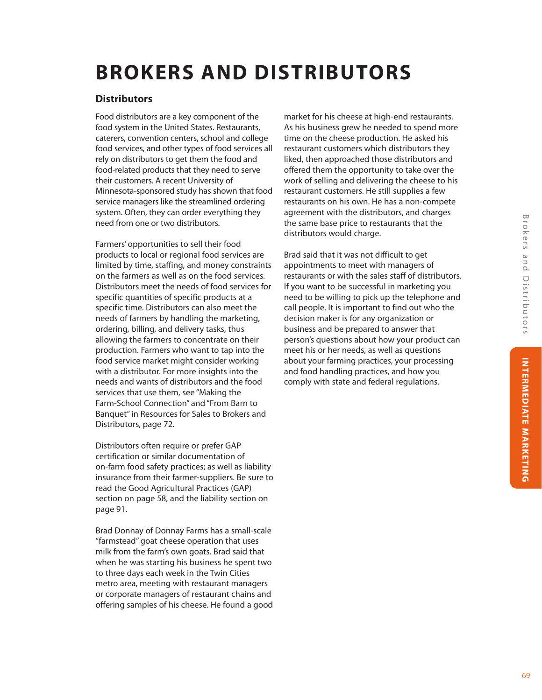# **BROKERS AND DISTRIBUTORS**

#### **Distributors**

Food distributors are a key component of the food system in the United States. Restaurants, caterers, convention centers, school and college food services, and other types of food services all rely on distributors to get them the food and food-related products that they need to serve their customers. A recent University of Minnesota-sponsored study has shown that food service managers like the streamlined ordering system. Often, they can order everything they need from one or two distributors.

Farmers' opportunities to sell their food products to local or regional food services are limited by time, staffing, and money constraints on the farmers as well as on the food services. Distributors meet the needs of food services for specific quantities of specific products at a specific time. Distributors can also meet the needs of farmers by handling the marketing, ordering, billing, and delivery tasks, thus allowing the farmers to concentrate on their production. Farmers who want to tap into the food service market might consider working with a distributor. For more insights into the needs and wants of distributors and the food services that use them, see "Making the Farm-School Connection" and "From Barn to Banquet" in Resources for Sales to Brokers and Distributors, page 72.

Distributors often require or prefer GAP certification or similar documentation of on-farm food safety practices; as well as liability insurance from their farmer-suppliers. Be sure to read the Good Agricultural Practices (GAP) section on page 58, and the liability section on page 91.

Brad Donnay of Donnay Farms has a small-scale "farmstead" goat cheese operation that uses milk from the farm's own goats. Brad said that when he was starting his business he spent two to three days each week in the Twin Cities metro area, meeting with restaurant managers or corporate managers of restaurant chains and offering samples of his cheese. He found a good

market for his cheese at high-end restaurants. As his business grew he needed to spend more time on the cheese production. He asked his restaurant customers which distributors they liked, then approached those distributors and offered them the opportunity to take over the work of selling and delivering the cheese to his restaurant customers. He still supplies a few restaurants on his own. He has a non-compete agreement with the distributors, and charges the same base price to restaurants that the distributors would charge.

Brad said that it was not difficult to get appointments to meet with managers of restaurants or with the sales staff of distributors. If you want to be successful in marketing you need to be willing to pick up the telephone and call people. It is important to find out who the decision maker is for any organization or business and be prepared to answer that person's questions about how your product can meet his or her needs, as well as questions about your farming practices, your processing and food handling practices, and how you comply with state and federal regulations.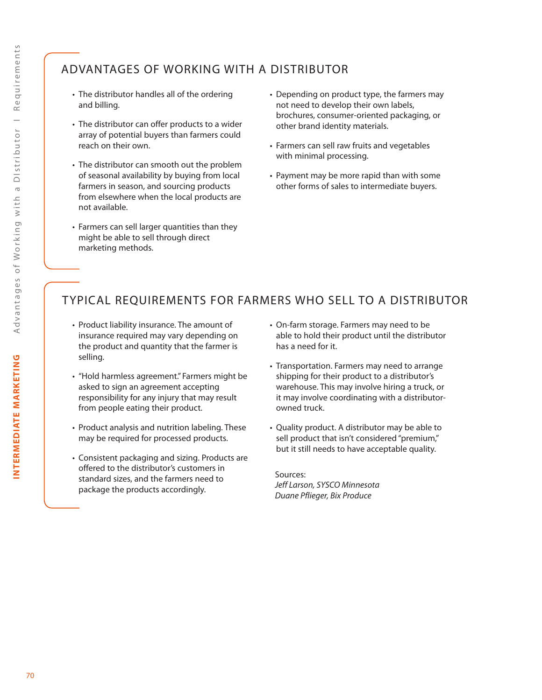# ADVANTAGES OF WORKING WITH A DISTRIBUTOR

- The distributor handles all of the ordering and billing.
- The distributor can offer products to a wider array of potential buyers than farmers could reach on their own.
- The distributor can smooth out the problem of seasonal availability by buying from local farmers in season, and sourcing products from elsewhere when the local products are not available.
- Farmers can sell larger quantities than they might be able to sell through direct marketing methods.
- Depending on product type, the farmers may not need to develop their own labels, brochures, consumer-oriented packaging, or other brand identity materials.
- Farmers can sell raw fruits and vegetables with minimal processing.
- Payment may be more rapid than with some other forms of sales to intermediate buyers.

# TYPICAL REQUIREMENTS FOR FARMERS WHO SELL TO A DISTRIBUTOR

- Product liability insurance. The amount of insurance required may vary depending on the product and quantity that the farmer is selling.
- "Hold harmless agreement." Farmers might be asked to sign an agreement accepting responsibility for any injury that may result from people eating their product.
- Product analysis and nutrition labeling. These may be required for processed products.
- Consistent packaging and sizing. Products are offered to the distributor's customers in standard sizes, and the farmers need to package the products accordingly.
- On-farm storage. Farmers may need to be able to hold their product until the distributor has a need for it.
- Transportation. Farmers may need to arrange shipping for their product to a distributor's warehouse. This may involve hiring a truck, or it may involve coordinating with a distributorowned truck.
- Quality product. A distributor may be able to sell product that isn't considered "premium," but it still needs to have acceptable quality.

Sources: *Jeff Larson, SYSCO Minnesota Duane Pflieger, Bix Produce*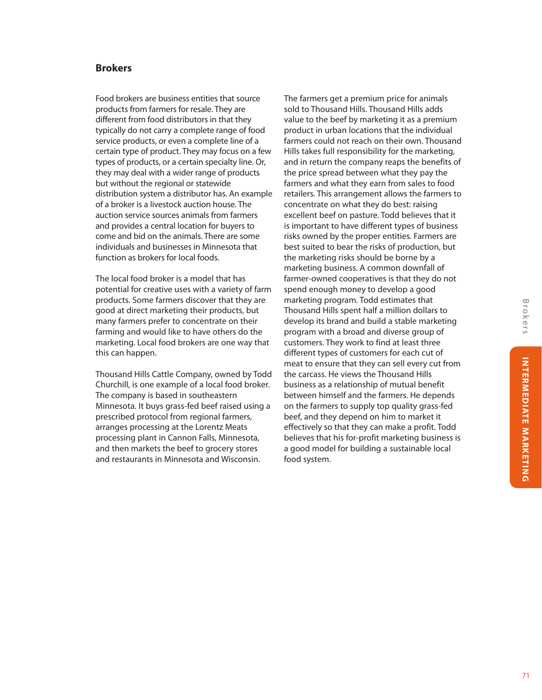## **Brokers**

Food brokers are business entities that source products from farmers for resale. They are different from food distributors in that they typically do not carry a complete range of food service products, or even a complete line of a certain type of product. They may focus on a few types of products, or a certain specialty line. Or, they may deal with a wider range of products but without the regional or statewide distribution system a distributor has. An example of a broker is a livestock auction house. The auction service sources animals from farmers and provides a central location for buyers to come and bid on the animals. There are some individuals and businesses in Minnesota that function as brokers for local foods.

The local food broker is a model that has potential for creative uses with a variety of farm products. Some farmers discover that they are good at direct marketing their products, but many farmers prefer to concentrate on their farming and would like to have others do the marketing. Local food brokers are one way that this can happen.

Thousand Hills Cattle Company, owned by Todd Churchill, is one example of a local food broker. The company is based in southeastern Minnesota. It buys grass-fed beef raised using a prescribed protocol from regional farmers, arranges processing at the Lorentz Meats processing plant in Cannon Falls, Minnesota, and then markets the beef to grocery stores and restaurants in Minnesota and Wisconsin.

The farmers get a premium price for animals sold to Thousand Hills. Thousand Hills adds value to the beef by marketing it as a premium product in urban locations that the individual farmers could not reach on their own. Thousand Hills takes full responsibility for the marketing, and in return the company reaps the benefits of the price spread between what they pay the farmers and what they earn from sales to food retailers. This arrangement allows the farmers to concentrate on what they do best: raising excellent beef on pasture. Todd believes that it is important to have different types of business risks owned by the proper entities. Farmers are best suited to bear the risks of production, but the marketing risks should be borne by a marketing business. A common downfall of farmer-owned cooperatives is that they do not spend enough money to develop a good marketing program. Todd estimates that Thousand Hills spent half a million dollars to develop its brand and build a stable marketing program with a broad and diverse group of customers. They work to find at least three different types of customers for each cut of meat to ensure that they can sell every cut from the carcass. He views the Thousand Hills business as a relationship of mutual benefit between himself and the farmers. He depends on the farmers to supply top quality grass-fed beef, and they depend on him to market it effectively so that they can make a profit. Todd believes that his for-profit marketing business is a good model for building a sustainable local food system.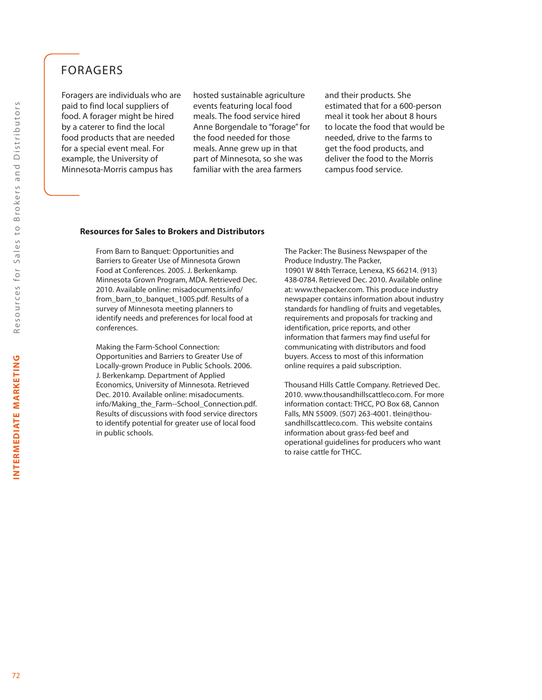# FORAGERS

Foragers are individuals who are paid to find local suppliers of food. A forager might be hired by a caterer to find the local food products that are needed for a special event meal. For example, the University of Minnesota-Morris campus has

hosted sustainable agriculture events featuring local food meals. The food service hired Anne Borgendale to "forage" for the food needed for those meals. Anne grew up in that part of Minnesota, so she was familiar with the area farmers

and their products. She estimated that for a 600-person meal it took her about 8 hours to locate the food that would be needed, drive to the farms to get the food products, and deliver the food to the Morris campus food service.

#### **Resources for Sales to Brokers and Distributors**

From Barn to Banquet: Opportunities and Barriers to Greater Use of Minnesota Grown Food at Conferences. 2005. J. Berkenkamp. Minnesota Grown Program, MDA. Retrieved Dec. 2010. Available online: misadocuments.info/ from\_barn\_to\_banquet\_1005.pdf. Results of a survey of Minnesota meeting planners to identify needs and preferences for local food at conferences.

Making the Farm-School Connection: Opportunities and Barriers to Greater Use of Locally-grown Produce in Public Schools. 2006. J. Berkenkamp. Department of Applied Economics, University of Minnesota. Retrieved Dec. 2010. Available online: misadocuments. info/Making\_the\_Farm--School\_Connection.pdf. Results of discussions with food service directors to identify potential for greater use of local food in public schools.

The Packer: The Business Newspaper of the Produce Industry. The Packer, 10901 W 84th Terrace, Lenexa, KS 66214. (913) 438-0784. Retrieved Dec. 2010. Available online at: www.thepacker.com. This produce industry newspaper contains information about industry standards for handling of fruits and vegetables, requirements and proposals for tracking and identification, price reports, and other information that farmers may find useful for communicating with distributors and food buyers. Access to most of this information online requires a paid subscription.

Thousand Hills Cattle Company. Retrieved Dec. 2010. www.thousandhillscattleco.com. For more information contact: THCC, PO Box 68, Cannon Falls, MN 55009. (507) 263-4001. tlein@thousandhillscattleco.com. This website contains information about grass-fed beef and operational guidelines for producers who want to raise cattle for THCC.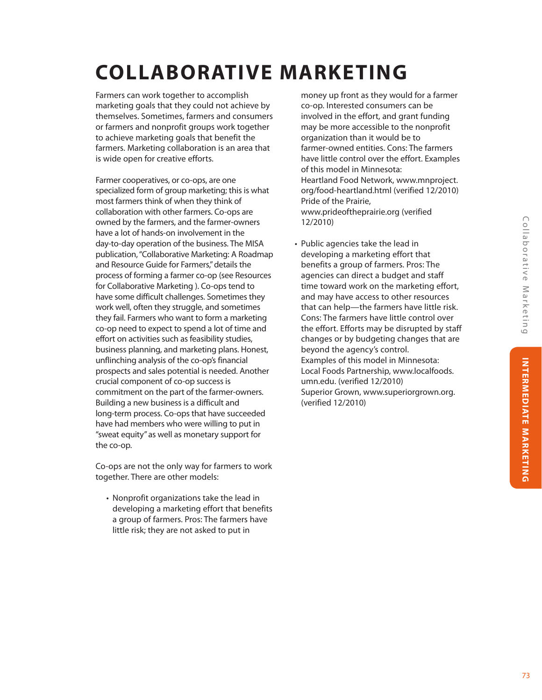# **COLLABORATIVE MARKETING**

Farmers can work together to accomplish marketing goals that they could not achieve by themselves. Sometimes, farmers and consumers or farmers and nonprofit groups work together to achieve marketing goals that benefit the farmers. Marketing collaboration is an area that is wide open for creative efforts.

Farmer cooperatives, or co-ops, are one specialized form of group marketing; this is what most farmers think of when they think of collaboration with other farmers. Co-ops are owned by the farmers, and the farmer-owners have a lot of hands-on involvement in the day-to-day operation of the business. The MISA publication, "Collaborative Marketing: A Roadmap and Resource Guide for Farmers," details the process of forming a farmer co-op (see Resources for Collaborative Marketing ). Co-ops tend to have some difficult challenges. Sometimes they work well, often they struggle, and sometimes they fail. Farmers who want to form a marketing co-op need to expect to spend a lot of time and effort on activities such as feasibility studies, business planning, and marketing plans. Honest, unflinching analysis of the co-op's financial prospects and sales potential is needed. Another crucial component of co-op success is commitment on the part of the farmer-owners. Building a new business is a difficult and long-term process. Co-ops that have succeeded have had members who were willing to put in "sweat equity" as well as monetary support for the co-op.

Co-ops are not the only way for farmers to work together. There are other models:

• Nonprofit organizations take the lead in developing a marketing effort that benefits a group of farmers. Pros: The farmers have little risk; they are not asked to put in

money up front as they would for a farmer co-op. Interested consumers can be involved in the effort, and grant funding may be more accessible to the nonprofit organization than it would be to farmer-owned entities. Cons: The farmers have little control over the effort. Examples of this model in Minnesota: Heartland Food Network, www.mnproject. org/food-heartland.html (verified 12/2010) Pride of the Prairie, www.prideoftheprairie.org (verified 12/2010)

• Public agencies take the lead in developing a marketing effort that benefits a group of farmers. Pros: The agencies can direct a budget and staff time toward work on the marketing effort, and may have access to other resources that can help—the farmers have little risk. Cons: The farmers have little control over the effort. Efforts may be disrupted by staff changes or by budgeting changes that are beyond the agency's control. Examples of this model in Minnesota: Local Foods Partnership, www.localfoods. umn.edu. (verified 12/2010) Superior Grown, www.superiorgrown.org. (verified 12/2010)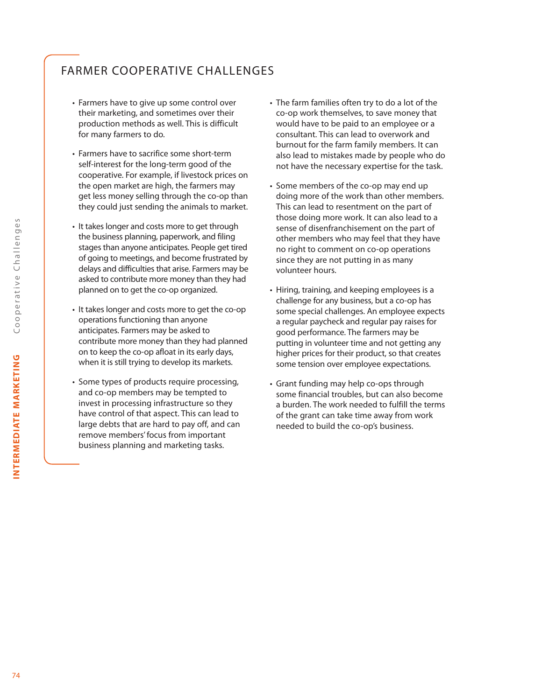# FARMER COOPERATIVE CHALLENGES

- Farmers have to give up some control over their marketing, and sometimes over their production methods as well. This is difficult for many farmers to do.
- Farmers have to sacrifice some short-term self-interest for the long-term good of the cooperative. For example, if livestock prices on the open market are high, the farmers may get less money selling through the co-op than they could just sending the animals to market.
- It takes longer and costs more to get through the business planning, paperwork, and filing stages than anyone anticipates. People get tired of going to meetings, and become frustrated by delays and difficulties that arise. Farmers may be asked to contribute more money than they had planned on to get the co-op organized.
- It takes longer and costs more to get the co-op operations functioning than anyone anticipates. Farmers may be asked to contribute more money than they had planned on to keep the co-op afloat in its early days, when it is still trying to develop its markets.
- Some types of products require processing, and co-op members may be tempted to invest in processing infrastructure so they have control of that aspect. This can lead to large debts that are hard to pay off, and can remove members' focus from important business planning and marketing tasks.
- The farm families often try to do a lot of the co-op work themselves, to save money that would have to be paid to an employee or a consultant. This can lead to overwork and burnout for the farm family members. It can also lead to mistakes made by people who do not have the necessary expertise for the task.
- Some members of the co-op may end up doing more of the work than other members. This can lead to resentment on the part of those doing more work. It can also lead to a sense of disenfranchisement on the part of other members who may feel that they have no right to comment on co-op operations since they are not putting in as many volunteer hours.
- Hiring, training, and keeping employees is a challenge for any business, but a co-op has some special challenges. An employee expects a regular paycheck and regular pay raises for good performance. The farmers may be putting in volunteer time and not getting any higher prices for their product, so that creates some tension over employee expectations.
- Grant funding may help co-ops through some financial troubles, but can also become a burden. The work needed to fulfill the terms of the grant can take time away from work needed to build the co-op's business.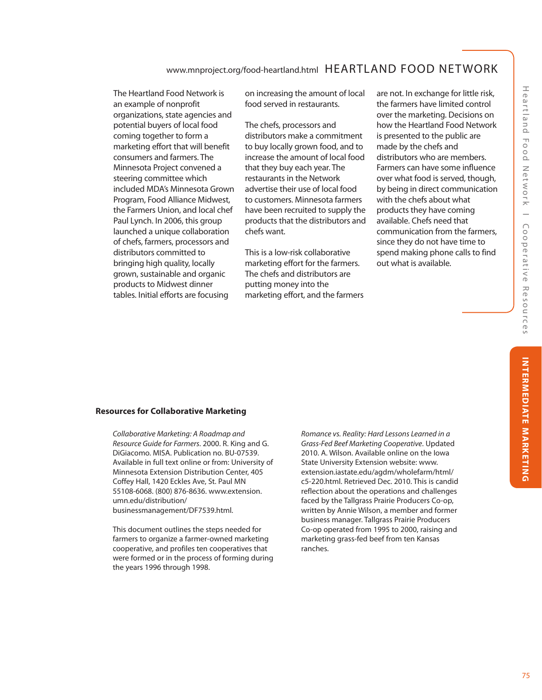The Heartland Food Network is an example of nonprofit organizations, state agencies and potential buyers of local food coming together to form a marketing effort that will benefit consumers and farmers. The Minnesota Project convened a steering committee which included MDA's Minnesota Grown Program, Food Alliance Midwest, the Farmers Union, and local chef Paul Lynch. In 2006, this group launched a unique collaboration of chefs, farmers, processors and distributors committed to bringing high quality, locally grown, sustainable and organic products to Midwest dinner tables. Initial efforts are focusing

on increasing the amount of local food served in restaurants.

The chefs, processors and distributors make a commitment to buy locally grown food, and to increase the amount of local food that they buy each year. The restaurants in the Network advertise their use of local food to customers. Minnesota farmers have been recruited to supply the products that the distributors and chefs want.

This is a low-risk collaborative marketing effort for the farmers. The chefs and distributors are putting money into the marketing effort, and the farmers are not. In exchange for little risk, the farmers have limited control over the marketing. Decisions on how the Heartland Food Network is presented to the public are made by the chefs and distributors who are members. Farmers can have some influence over what food is served, though, by being in direct communication with the chefs about what products they have coming available. Chefs need that communication from the farmers, since they do not have time to spend making phone calls to find out what is available.

# Heartland Food Network | Cooperative Resources Heartland Food Network I Cooperative Resources | INTERMEDIATE MARKETING | **INTERMEDIATE MARKETING**

#### **Resources for Collaborative Marketing**

*Collaborative Marketing: A Roadmap and Resource Guide for Farmers*. 2000. R. King and G. DiGiacomo. MISA. Publication no. BU-07539. Available in full text online or from: University of Minnesota Extension Distribution Center, 405 Coffey Hall, 1420 Eckles Ave, St. Paul MN 55108-6068. (800) 876-8636. www.extension. umn.edu/distribution/ businessmanagement/DF7539.html.

This document outlines the steps needed for farmers to organize a farmer-owned marketing cooperative, and profiles ten cooperatives that were formed or in the process of forming during the years 1996 through 1998.

*Romance vs. Reality: Hard Lessons Learned in a Grass-Fed Beef Marketing Cooperative*. Updated 2010. A. Wilson. Available online on the Iowa State University Extension website: www. extension.iastate.edu/agdm/wholefarm/html/ c5-220.html. Retrieved Dec. 2010. This is candid reflection about the operations and challenges faced by the Tallgrass Prairie Producers Co-op, written by Annie Wilson, a member and former business manager. Tallgrass Prairie Producers Co-op operated from 1995 to 2000, raising and marketing grass-fed beef from ten Kansas ranches.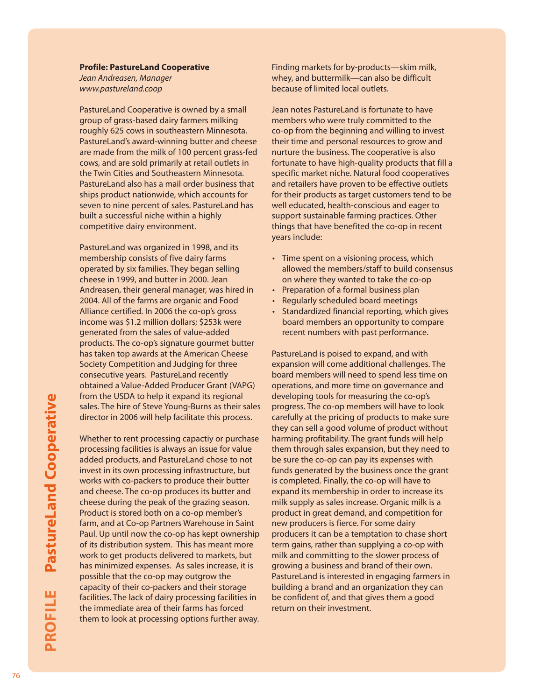# **Profile: PastureLand Cooperative**

*Jean Andreasen, Manager www.pastureland.coop*

PastureLand Cooperative is owned by a small group of grass-based dairy farmers milking roughly 625 cows in southeastern Minnesota. PastureLand's award-winning butter and cheese are made from the milk of 100 percent grass-fed cows, and are sold primarily at retail outlets in the Twin Cities and Southeastern Minnesota. PastureLand also has a mail order business that ships product nationwide, which accounts for seven to nine percent of sales. PastureLand has built a successful niche within a highly competitive dairy environment.

PastureLand was organized in 1998, and its membership consists of five dairy farms operated by six families. They began selling cheese in 1999, and butter in 2000. Jean Andreasen, their general manager, was hired in 2004. All of the farms are organic and Food Alliance certified. In 2006 the co-op's gross income was \$1.2 million dollars; \$253k were generated from the sales of value-added products. The co-op's signature gourmet butter has taken top awards at the American Cheese Society Competition and Judging for three consecutive years. PastureLand recently obtained a Value-Added Producer Grant (VAPG) from the USDA to help it expand its regional sales. The hire of Steve Young-Burns as their sales director in 2006 will help facilitate this process.

Whether to rent processing capactiy or purchase processing facilities is always an issue for value added products, and PastureLand chose to not invest in its own processing infrastructure, but works with co-packers to produce their butter and cheese. The co-op produces its butter and cheese during the peak of the grazing season. Product is stored both on a co-op member's farm, and at Co-op Partners Warehouse in Saint Paul. Up until now the co-op has kept ownership of its distribution system. This has meant more work to get products delivered to markets, but has minimized expenses. As sales increase, it is possible that the co-op may outgrow the capacity of their co-packers and their storage facilities. The lack of dairy processing facilities in the immediate area of their farms has forced them to look at processing options further away. Finding markets for by-products—skim milk, whey, and buttermilk—can also be difficult because of limited local outlets.

Jean notes PastureLand is fortunate to have members who were truly committed to the co-op from the beginning and willing to invest their time and personal resources to grow and nurture the business. The cooperative is also fortunate to have high-quality products that fill a specific market niche. Natural food cooperatives and retailers have proven to be effective outlets for their products as target customers tend to be well educated, health-conscious and eager to support sustainable farming practices. Other things that have benefited the co-op in recent years include:

- Time spent on a visioning process, which allowed the members/staff to build consensus on where they wanted to take the co-op
- Preparation of a formal business plan
- Regularly scheduled board meetings
- Standardized financial reporting, which gives board members an opportunity to compare recent numbers with past performance.

PastureLand is poised to expand, and with expansion will come additional challenges. The board members will need to spend less time on operations, and more time on governance and developing tools for measuring the co-op's progress. The co-op members will have to look carefully at the pricing of products to make sure they can sell a good volume of product without harming profitability. The grant funds will help them through sales expansion, but they need to be sure the co-op can pay its expenses with funds generated by the business once the grant is completed. Finally, the co-op will have to expand its membership in order to increase its milk supply as sales increase. Organic milk is a product in great demand, and competition for new producers is fierce. For some dairy producers it can be a temptation to chase short term gains, rather than supplying a co-op with milk and committing to the slower process of growing a business and brand of their own. PastureLand is interested in engaging farmers in building a brand and an organization they can be confident of, and that gives them a good return on their investment.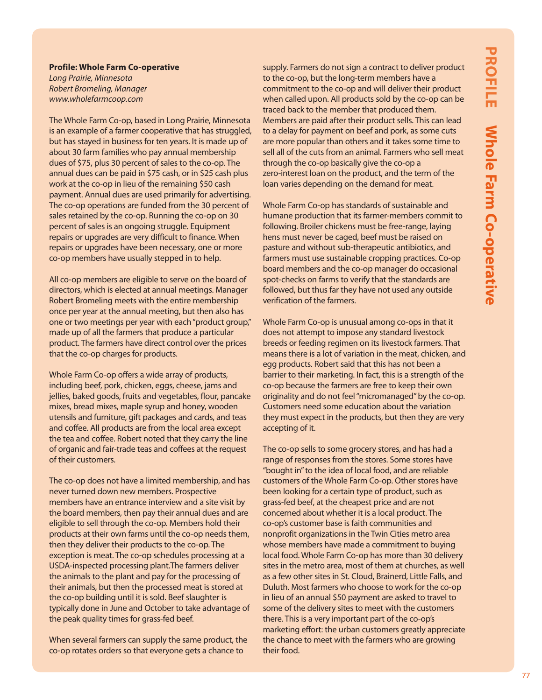#### **Profile: Whole Farm Co-operative**

*Long Prairie, Minnesota Robert Bromeling, Manager www.wholefarmcoop.com*

The Whole Farm Co-op, based in Long Prairie, Minnesota is an example of a farmer cooperative that has struggled, but has stayed in business for ten years. It is made up of about 30 farm families who pay annual membership dues of \$75, plus 30 percent of sales to the co-op. The annual dues can be paid in \$75 cash, or in \$25 cash plus work at the co-op in lieu of the remaining \$50 cash payment. Annual dues are used primarily for advertising. The co-op operations are funded from the 30 percent of sales retained by the co-op. Running the co-op on 30 percent of sales is an ongoing struggle. Equipment repairs or upgrades are very difficult to finance. When repairs or upgrades have been necessary, one or more co-op members have usually stepped in to help.

All co-op members are eligible to serve on the board of directors, which is elected at annual meetings. Manager Robert Bromeling meets with the entire membership once per year at the annual meeting, but then also has one or two meetings per year with each "product group," made up of all the farmers that produce a particular product. The farmers have direct control over the prices that the co-op charges for products.

Whole Farm Co-op offers a wide array of products, including beef, pork, chicken, eggs, cheese, jams and jellies, baked goods, fruits and vegetables, flour, pancake mixes, bread mixes, maple syrup and honey, wooden utensils and furniture, gift packages and cards, and teas and coffee. All products are from the local area except the tea and coffee. Robert noted that they carry the line of organic and fair-trade teas and coffees at the request of their customers.

The co-op does not have a limited membership, and has never turned down new members. Prospective members have an entrance interview and a site visit by the board members, then pay their annual dues and are eligible to sell through the co-op. Members hold their products at their own farms until the co-op needs them, then they deliver their products to the co-op. The exception is meat. The co-op schedules processing at a USDA-inspected processing plant.The farmers deliver the animals to the plant and pay for the processing of their animals, but then the processed meat is stored at the co-op building until it is sold. Beef slaughter is typically done in June and October to take advantage of the peak quality times for grass-fed beef.

When several farmers can supply the same product, the co-op rotates orders so that everyone gets a chance to

supply. Farmers do not sign a contract to deliver product to the co-op, but the long-term members have a commitment to the co-op and will deliver their product when called upon. All products sold by the co-op can be traced back to the member that produced them. Members are paid after their product sells. This can lead to a delay for payment on beef and pork, as some cuts are more popular than others and it takes some time to sell all of the cuts from an animal. Farmers who sell meat through the co-op basically give the co-op a zero-interest loan on the product, and the term of the loan varies depending on the demand for meat.

Whole Farm Co-op has standards of sustainable and humane production that its farmer-members commit to following. Broiler chickens must be free-range, laying hens must never be caged, beef must be raised on pasture and without sub-therapeutic antibiotics, and farmers must use sustainable cropping practices. Co-op board members and the co-op manager do occasional spot-checks on farms to verify that the standards are followed, but thus far they have not used any outside verification of the farmers.

Whole Farm Co-op is unusual among co-ops in that it does not attempt to impose any standard livestock breeds or feeding regimen on its livestock farmers. That means there is a lot of variation in the meat, chicken, and egg products. Robert said that this has not been a barrier to their marketing. In fact, this is a strength of the co-op because the farmers are free to keep their own originality and do not feel "micromanaged" by the co-op. Customers need some education about the variation they must expect in the products, but then they are very accepting of it.

The co-op sells to some grocery stores, and has had a range of responses from the stores. Some stores have "bought in" to the idea of local food, and are reliable customers of the Whole Farm Co-op. Other stores have been looking for a certain type of product, such as grass-fed beef, at the cheapest price and are not concerned about whether it is a local product. The co-op's customer base is faith communities and nonprofit organizations in the Twin Cities metro area whose members have made a commitment to buying local food. Whole Farm Co-op has more than 30 delivery sites in the metro area, most of them at churches, as well as a few other sites in St. Cloud, Brainerd, Little Falls, and Duluth. Most farmers who choose to work for the co-op in lieu of an annual \$50 payment are asked to travel to some of the delivery sites to meet with the customers there. This is a very important part of the co-op's marketing effort: the urban customers greatly appreciate the chance to meet with the farmers who are growing their food.